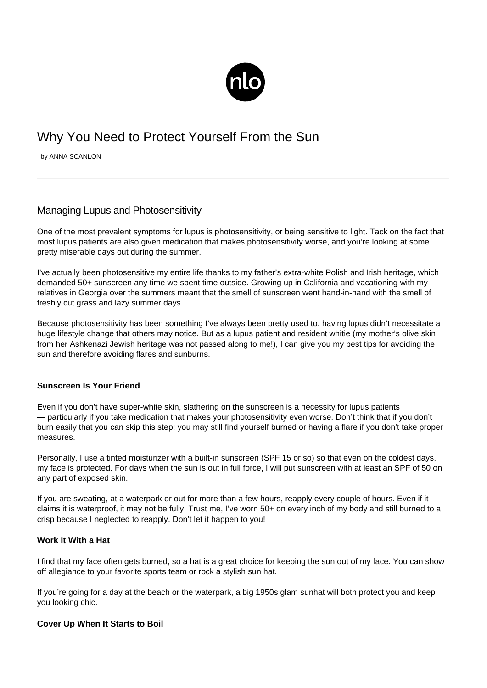

# Why You Need to Protect Yourself From the Sun

by ANNA SCANLON

## Managing Lupus and Photosensitivity

One of the most prevalent symptoms for lupus is photosensitivity, or being sensitive to light. Tack on the fact that most lupus patients are also given medication that makes photosensitivity worse, and you're looking at some pretty miserable days out during the summer.

I've actually been photosensitive my entire life thanks to my father's extra-white Polish and Irish heritage, which demanded 50+ sunscreen any time we spent time outside. Growing up in California and vacationing with my relatives in Georgia over the summers meant that the smell of sunscreen went hand-in-hand with the smell of freshly cut grass and lazy summer days.

Because photosensitivity has been something I've always been pretty used to, having lupus didn't necessitate a huge lifestyle change that others may notice. But as a lupus patient and resident whitie (my mother's olive skin from her Ashkenazi Jewish heritage was not passed along to me!), I can give you my best tips for avoiding the sun and therefore avoiding flares and sunburns.

#### **Sunscreen Is Your Friend**

Even if you don't have super-white skin, slathering on the sunscreen is a necessity for lupus patients — particularly if you take medication that makes your photosensitivity even worse. Don't think that if you don't burn easily that you can skip this step; you may still find yourself burned or having a flare if you don't take proper measures.

Personally, I use a tinted moisturizer with a built-in sunscreen (SPF 15 or so) so that even on the coldest days, my face is protected. For days when the sun is out in full force, I will put sunscreen with at least an SPF of 50 on any part of exposed skin.

If you are sweating, at a waterpark or out for more than a few hours, reapply every couple of hours. Even if it claims it is waterproof, it may not be fully. Trust me, I've worn 50+ on every inch of my body and still burned to a crisp because I neglected to reapply. Don't let it happen to you!

#### **Work It With a Hat**

I find that my face often gets burned, so a hat is a great choice for keeping the sun out of my face. You can show off allegiance to your favorite sports team or rock a stylish sun hat.

If you're going for a day at the beach or the waterpark, a big 1950s glam sunhat will both protect you and keep you looking chic.

#### **Cover Up When It Starts to Boil**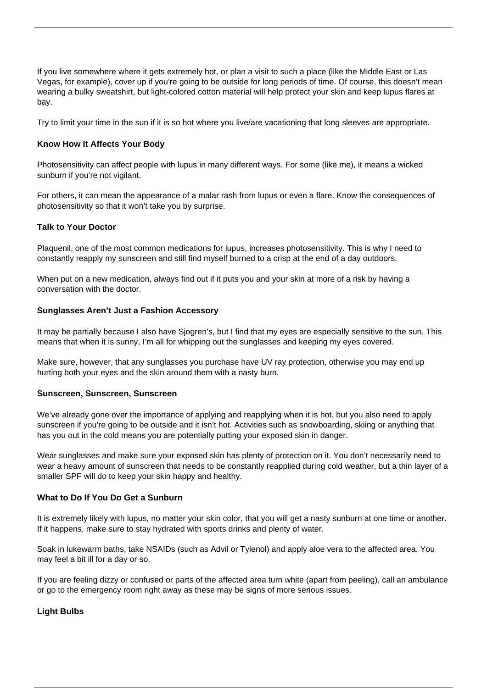If you live somewhere where it gets extremely hot, or plan a visit to such a place (like the Middle East or Las Vegas, for example), cover up if you're going to be outside for long periods of time. Of course, this doesn't mean wearing a bulky sweatshirt, but light-colored cotton material will help protect your skin and keep lupus flares at bay.

Try to limit your time in the sun if it is so hot where you live/are vacationing that long sleeves are appropriate.

#### **Know How It Affects Your Body**

Photosensitivity can affect people with lupus in many different ways. For some (like me), it means a wicked sunburn if you're not vigilant.

For others, it can mean the appearance of a [malar rash from lupus](/living-lupus-skin-rashes/) or even a flare. Know the consequences of photosensitivity so that it won't take you by surprise.

#### **Talk to Your Doctor**

Plaquenil, one of the most common medications for lupus, increases photosensitivity. This is why I need to constantly reapply my sunscreen and still find myself burned to a crisp at the end of a day outdoors.

When put on a new medication, always find out if it puts you and your skin at more of a risk by having a conversation with the doctor.

#### **Sunglasses Aren't Just a Fashion Accessory**

It may be partially because I also have Sjogren's, but I find that my eyes are especially sensitive to the sun. This means that when it is sunny, I'm all for whipping out the sunglasses and keeping my eyes covered.

Make sure, however, that any sunglasses you purchase have UV ray protection, otherwise you may end up hurting both your eyes and the skin around them with a nasty burn.

#### **Sunscreen, Sunscreen, Sunscreen**

We've already gone over the importance of applying and reapplying when it is hot, but you also need to apply sunscreen if you're going to be outside and it isn't hot. Activities such as snowboarding, skiing or anything that has you out in the cold means you are potentially putting your exposed skin in danger.

Wear sunglasses and make sure your exposed skin has plenty of protection on it. You don't necessarily need to wear a heavy amount of sunscreen that needs to be constantly reapplied during cold weather, but a thin layer of a smaller SPF will do to keep your skin happy and healthy.

#### **What to Do If You Do Get a Sunburn**

It is extremely likely with lupus, no matter your skin color, that you will get a nasty sunburn at one time or another. If it happens, make sure to stay hydrated with sports drinks and plenty of water.

Soak in lukewarm baths, take NSAIDs (such as Advil or Tylenol) and apply aloe vera to the affected area. You may feel a bit ill for a day or so.

If you are feeling dizzy or confused or parts of the affected area turn white (apart from peeling), call an ambulance or go to the emergency room right away as these may be signs of more serious issues.

### **Light Bulbs**